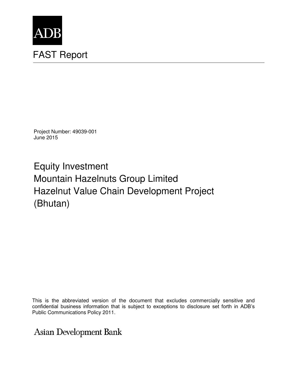

Project Number: 49039-001 June 2015

Equity Investment Mountain Hazelnuts Group Limited Hazelnut Value Chain Development Project (Bhutan)

This is the abbreviated version of the document that excludes commercially sensitive and confidential business information that is subject to exceptions to disclosure set forth in ADB's Public Communications Policy 2011.

**Asian Development Bank**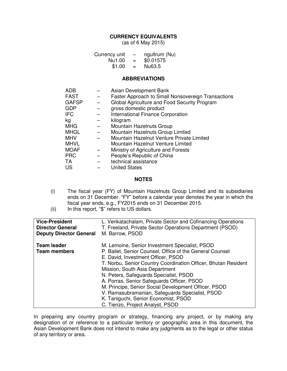### **CURRENCY EQUIVALENTS**

(as of 6 May 2015)

| Currency unit | $\qquad \qquad \blacksquare$ | ngultrum (Nu) |
|---------------|------------------------------|---------------|
| Nu1.00        | $=$                          | \$0.01575     |
| \$1.00        | $=$                          | Nu63.5        |

#### **ABBREVIATIONS**

| <b>ADB</b>   |                   | Asian Development Bank                             |
|--------------|-------------------|----------------------------------------------------|
| <b>FAST</b>  | $\qquad \qquad -$ | Faster Approach to Small Nonsovereign Transactions |
| <b>GAFSP</b> |                   | Global Agriculture and Food Security Program       |
| <b>GDP</b>   |                   | gross domestic product                             |
| <b>IFC</b>   |                   | <b>International Finance Corporation</b>           |
| kg           |                   | kilogram                                           |
| <b>MHG</b>   |                   | Mountain Hazelnuts Group                           |
| <b>MHGL</b>  |                   | Mountain Hazelnuts Group Limited                   |
| <b>MHV</b>   |                   | Mountain Hazelnut Venture Private Limited          |
| <b>MHVL</b>  |                   | Mountain Hazelnut Venture Limited                  |
| <b>MOAF</b>  |                   | Ministry of Agriculture and Forests                |
| <b>PRC</b>   |                   | People's Republic of China                         |
| TA           |                   | technical assistance                               |
| US           |                   | <b>United States</b>                               |

#### **NOTES**

- (i) The fiscal year (FY) of Mountain Hazelnuts Group Limited and its subsidiaries ends on 31 December. "FY" before a calendar year denotes the year in which the fiscal year ends, e.g., FY2015 ends on 31 December 2015.
- (ii) In this report, "\$" refers to US dollars.

| <b>Vice-President</b>                     | L. Venkatachalam, Private Sector and Cofinancing Operations                                                                                                                                                                                                                                                                                                                                                                                                                                                                         |
|-------------------------------------------|-------------------------------------------------------------------------------------------------------------------------------------------------------------------------------------------------------------------------------------------------------------------------------------------------------------------------------------------------------------------------------------------------------------------------------------------------------------------------------------------------------------------------------------|
| <b>Director General</b>                   | T. Freeland, Private Sector Operations Department (PSOD)                                                                                                                                                                                                                                                                                                                                                                                                                                                                            |
| <b>Deputy Director General</b>            | M. Barrow, PSOD                                                                                                                                                                                                                                                                                                                                                                                                                                                                                                                     |
| <b>Team leader</b><br><b>Team members</b> | M. Lemoine, Senior Investment Specialist, PSOD<br>P. Bailet, Senior Counsel, Office of the General Counsel<br>E. David, Investment Officer, PSOD<br>T. Norbu, Senior Country Coordination Officer, Bhutan Resident<br>Mission, South Asia Department<br>N. Peters, Safeguards Specialist, PSOD<br>A. Porras, Senior Safeguards Officer, PSOD<br>M. Principe, Senior Social Development Officer, PSOD<br>V. Ramasubramanian, Safeguards Specialist, PSOD<br>K. Taniguchi, Senior Economist, PSOD<br>C. Tienzo, Project Analyst, PSOD |

In preparing any country program or strategy, financing any project, or by making any designation of or reference to a particular territory or geographic area in this document, the Asian Development Bank does not intend to make any judgments as to the legal or other status of any territory or area.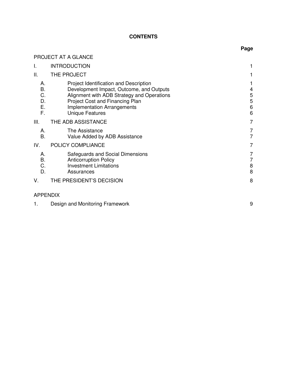# **CONTENTS**

**Page** 

|                                  | PROJECT AT A GLANCE                                                                                                                                                                                                                 |                       |
|----------------------------------|-------------------------------------------------------------------------------------------------------------------------------------------------------------------------------------------------------------------------------------|-----------------------|
| I.                               | <b>INTRODUCTION</b>                                                                                                                                                                                                                 |                       |
| Π.                               | THE PROJECT                                                                                                                                                                                                                         |                       |
| А.<br>B.<br>C.<br>D.<br>Ε.<br>F. | Project Identification and Description<br>Development Impact, Outcome, and Outputs<br>Alignment with ADB Strategy and Operations<br>Project Cost and Financing Plan<br><b>Implementation Arrangements</b><br><b>Unique Features</b> | 4<br>5<br>5<br>6<br>6 |
| Ш.                               | THE ADB ASSISTANCE                                                                                                                                                                                                                  | 7                     |
| А.<br><b>B.</b>                  | The Assistance<br>Value Added by ADB Assistance                                                                                                                                                                                     | 7<br>7                |
| IV.                              | POLICY COMPLIANCE                                                                                                                                                                                                                   | 7                     |
| А.<br>В.<br>C.<br>D.             | Safeguards and Social Dimensions<br><b>Anticorruption Policy</b><br><b>Investment Limitations</b><br>Assurances                                                                                                                     | 7<br>7<br>8<br>8      |
| V.                               | THE PRESIDENT'S DECISION                                                                                                                                                                                                            | 8                     |
| <b>APPENDIX</b>                  |                                                                                                                                                                                                                                     |                       |

|  | Design and Monitoring Framework |  |
|--|---------------------------------|--|
|--|---------------------------------|--|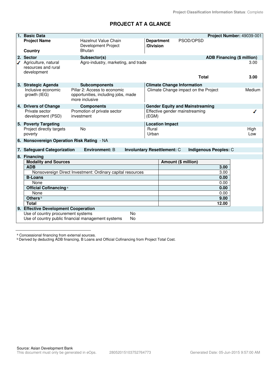# **PROJECT AT A GLANCE**

| 1 <sub>1</sub> | <b>Basic Data</b>                                          |                                                                                       |                                    |                                        |              |                       | Project Number: 49039-001         |
|----------------|------------------------------------------------------------|---------------------------------------------------------------------------------------|------------------------------------|----------------------------------------|--------------|-----------------------|-----------------------------------|
|                | <b>Project Name</b><br>Country                             | Hazelnut Value Chain<br>Development Project<br><b>Bhutan</b>                          | <b>Department</b><br>/Division     |                                        | PSOD/OPSD    |                       |                                   |
|                | 2. Sector                                                  | Subsector(s)                                                                          |                                    |                                        |              |                       | <b>ADB Financing (\$ million)</b> |
|                | Agriculture, natural<br>resources and rural<br>development | Agro-industry, marketing, and trade                                                   |                                    |                                        |              |                       | 3.00                              |
|                |                                                            |                                                                                       |                                    |                                        | <b>Total</b> |                       | 3.00                              |
|                | 3. Strategic Agenda                                        | <b>Subcomponents</b>                                                                  |                                    | <b>Climate Change Information</b>      |              |                       |                                   |
|                | Inclusive economic<br>growth (IEG)                         | Pillar 2: Access to economic<br>opportunities, including jobs, made<br>more inclusive |                                    | Climate Change impact on the Project   |              |                       | Medium                            |
|                | 4. Drivers of Change                                       | <b>Components</b>                                                                     |                                    | <b>Gender Equity and Mainstreaming</b> |              |                       |                                   |
|                | Private sector<br>development (PSD)                        | Promotion of private sector<br>investment                                             | (EGM)                              | Effective gender mainstreaming         |              |                       |                                   |
|                | 5. Poverty Targeting                                       |                                                                                       |                                    | <b>Location Impact</b>                 |              |                       |                                   |
|                | Project directly targets<br>poverty                        | <b>No</b>                                                                             | Rural<br>Urban                     |                                        |              |                       | High<br>Low                       |
|                | 6. Nonsovereign Operation Risk Rating - NA                 |                                                                                       |                                    |                                        |              |                       |                                   |
|                |                                                            |                                                                                       |                                    |                                        |              |                       |                                   |
|                | 7. Safeguard Categorization                                | <b>Environment: B</b>                                                                 | <b>Involuntary Resettlement: C</b> |                                        |              | Indigenous Peoples: C |                                   |
|                | 8. Financing                                               |                                                                                       |                                    |                                        |              |                       |                                   |
|                | <b>Modality and Sources</b>                                |                                                                                       |                                    | Amount (\$ million)                    |              |                       |                                   |
|                | <b>ADB</b>                                                 | Nonsovereign Direct Investment: Ordinary capital resources                            |                                    |                                        |              | 3.00<br>3.00          |                                   |
|                | <b>B-Loans</b>                                             |                                                                                       |                                    |                                        |              | 0.00                  |                                   |
|                | None                                                       |                                                                                       |                                    |                                        |              | 0.00                  |                                   |
|                | <b>Official Cofinancing a</b>                              |                                                                                       |                                    |                                        |              | 0.00                  |                                   |
|                | None                                                       |                                                                                       |                                    |                                        |              | 0.00                  |                                   |
|                | Others <sup>b</sup>                                        |                                                                                       |                                    |                                        |              | 9.00                  |                                   |
|                | <b>Total</b>                                               |                                                                                       |                                    |                                        |              | 12.00                 |                                   |
|                | 9. Effective Development Cooperation                       |                                                                                       |                                    |                                        |              |                       |                                   |
|                | Use of country procurement systems                         | Use of country public financial management systems                                    | <b>No</b><br><b>No</b>             |                                        |              |                       |                                   |

a Concessional financing from external sources.

**b Derived by deducting ADB financing, B Loans and Official Cofinancing from Project Total Cost.**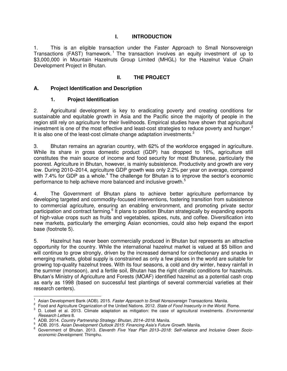### **I. INTRODUCTION**

1. This is an eligible transaction under the Faster Approach to Small Nonsovereign Transactions (FAST) framework.<sup>1</sup> The transaction involves an equity investment of up to \$3,000,000 in Mountain Hazelnuts Group Limited (MHGL) for the Hazelnut Value Chain Development Project in Bhutan.

### **II. THE PROJECT**

### **A. Project Identification and Description**

### **1. Project Identification**

2. Agricultural development is key to eradicating poverty and creating conditions for sustainable and equitable growth in Asia and the Pacific since the majority of people in the region still rely on agriculture for their livelihoods. Empirical studies have shown that agricultural investment is one of the most effective and least-cost strategies to reduce poverty and hunger. $2$ It is also one of the least-cost climate change adaptation investments.<sup>3</sup>

3. Bhutan remains an agrarian country, with 62% of the workforce engaged in agriculture. While its share in gross domestic product (GDP) has dropped to 16%, agriculture still constitutes the main source of income and food security for most Bhutanese, particularly the poorest. Agriculture in Bhutan, however, is mainly subsistence. Productivity and growth are very low. During 2010–2014, agriculture GDP growth was only 2.2% per year on average, compared with 7.4% for GDP as a whole.<sup>4</sup> The challenge for Bhutan is to improve the sector's economic performance to help achieve more balanced and inclusive growth.<sup>5</sup>

4. The Government of Bhutan plans to achieve better agriculture performance by developing targeted and commodity-focused interventions, fostering transition from subsistence to commercial agriculture, ensuring an enabling environment, and promoting private sector participation and contract farming.<sup>6</sup> It plans to position Bhutan strategically by expanding exports of high-value crops such as fruits and vegetables, spices, nuts, and coffee. Diversification into new markets, particularly the emerging Asian economies, could also help expand the export base (footnote 5).

5. Hazelnut has never been commercially produced in Bhutan but represents an attractive opportunity for the country. While the international hazelnut market is valued at \$5 billion and will continue to grow strongly, driven by the increased demand for confectionary and snacks in emerging markets, global supply is constrained as only a few places in the world are suitable for growing top-quality hazelnut trees. With its four seasons, a cold and dry winter, heavy rainfall in the summer (monsoon), and a fertile soil, Bhutan has the right climatic conditions for hazelnuts. Bhutan's Ministry of Agriculture and Forests (MOAF) identified hazelnut as a potential cash crop as early as 1998 (based on successful test plantings of several commercial varieties at their research centers).

 $\overline{a}$ 1 Asian Development Bank (ADB). 2015. *Faster Approach to Small Nonsovereign Transactions*. Manila.

<sup>2</sup> Food and Agriculture Organization of the United Nations. 2012. *State of Food Insecurity in the World*. Rome.

<sup>3</sup> D. Lobell et al. 2013. Climate adaptation as mitigation: the case of agricultural investments*. Environmental Research Letters* 8.

<sup>4</sup> ADB. 2014. *Country Partnership Strategy: Bhutan, 2014–2018*. Manila.

<sup>5</sup> ADB. 2015. *Asian Development Outlook 2015: Financing Asia's Future Growth*. Manila.

<sup>6</sup> Government of Bhutan. 2013. *Eleventh Five Year Plan 2013–2018: Self-reliance and Inclusive Green Socioeconomic Development*. Thimphu.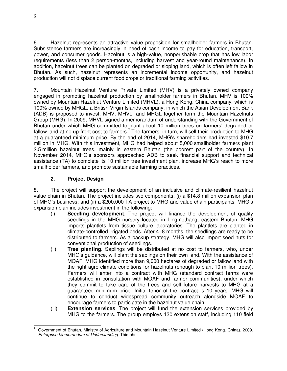6. Hazelnut represents an attractive value proposition for smallholder farmers in Bhutan. Subsistence farmers are increasingly in need of cash income to pay for education, transport, power, and consumer goods. Hazelnut is a high-value, nonperishable crop that has low labor requirements (less than 2 person-months, including harvest and year-round maintenance). In addition, hazelnut trees can be planted on degraded or sloping land, which is often left fallow in Bhutan. As such, hazelnut represents an incremental income opportunity, and hazelnut production will not displace current food crops or traditional farming activities.

7. Mountain Hazelnut Venture Private Limited (MHV) is a privately owned company engaged in promoting hazelnut production by smallholder farmers in Bhutan. MHV is 100% owned by Mountain Hazelnut Venture Limited (MHVL), a Hong Kong, China company, which is 100% owned by MHGL, a British Virgin Islands company, in which the Asian Development Bank (ADB) is proposed to invest. MHV, MHVL, and MHGL together form the Mountain Hazelnuts Group (MHG). In 2009, MHVL signed a memorandum of understanding with the Government of Bhutan under which MHG committed to plant about 10 million trees on farmers' degraded or fallow land at no up-front cost to farmers.<sup>7</sup> The farmers, in turn, will sell their production to MHG at a guaranteed minimum price. By the end of 2014, MHG's shareholders had invested \$10.7 million in MHG. With this investment, MHG had helped about 5,000 smallholder farmers plant 2.5 million hazelnut trees, mainly in eastern Bhutan (the poorest part of the country). In November 2014, MHG's sponsors approached ADB to seek financial support and technical assistance (TA) to complete its 10 million tree investment plan, increase MHG's reach to more smallholder farmers, and promote sustainable farming practices.

## **2. Project Design**

8. The project will support the development of an inclusive and climate-resilient hazelnut value chain in Bhutan. The project includes two components: (i) a \$14.8 million expansion plan of MHG's business; and (ii) a \$200,000 TA project to MHG and value chain participants. MHG's expansion plan includes investment in the following:

- (i) **Seedling development**. The project will finance the development of quality seedlings in the MHG nursery located in Lingmethang, eastern Bhutan. MHG imports plantlets from tissue culture laboratories. The plantlets are planted in climate-controlled irrigated beds. After 4–8 months, the seedlings are ready to be distributed to farmers. As a backup strategy, MHG will also import seed nuts for conventional production of seedlings.
- (ii) **Tree planting**. Saplings will be distributed at no cost to farmers, who, under MHG's guidance, will plant the saplings on their own land. With the assistance of MOAF, MHG identified more than 9,000 hectares of degraded or fallow land with the right agro-climate conditions for hazelnuts (enough to plant 10 million trees). Farmers will enter into a contract with MHG (standard contract terms were established in consultation with MOAF and farmer communities), under which they commit to take care of the trees and sell future harvests to MHG at a guaranteed minimum price. Initial tenor of the contract is 10 years. MHG will continue to conduct widespread community outreach alongside MOAF to encourage farmers to participate in the hazelnut value chain.
- (iii) **Extension services**. The project will fund the extension services provided by MHG to the farmers. The group employs 130 extension staff, including 110 field

 $\overline{a}$ 7 Government of Bhutan, Ministry of Agriculture and Mountain Hazelnut Venture Limited (Hong Kong, China). 2009. *Enterprise Memorandum of Understanding*. Thimphu.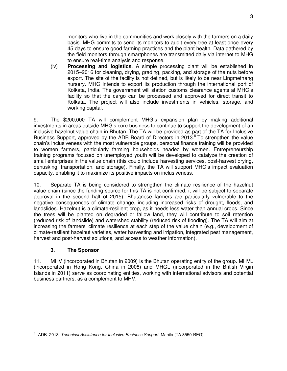monitors who live in the communities and work closely with the farmers on a daily basis. MHG commits to send its monitors to audit every tree at least once every 45 days to ensure good farming practices and the plant health. Data gathered by the field monitors through smartphones are transmitted daily via internet to MHG to ensure real-time analysis and response.

(iv) **Processing and logistics**. A simple processing plant will be established in 2015–2016 for cleaning, drying, grading, packing, and storage of the nuts before export. The site of the facility is not defined, but is likely to be near Lingmethang nursery. MHG intends to export its production through the international port of Kolkata, India. The government will station customs clearance agents at MHG's facility so that the cargo can be processed and approved for direct transit to Kolkata. The project will also include investments in vehicles, storage, and working capital.

9. The \$200,000 TA will complement MHG's expansion plan by making additional investments in areas outside MHG's core business to continue to support the development of an inclusive hazelnut value chain in Bhutan. The TA will be provided as part of the TA for Inclusive Business Support, approved by the ADB Board of Directors in 2013. $8$  To strengthen the value chain's inclusiveness with the most vulnerable groups, personal finance training will be provided to women farmers, particularly farming households headed by women. Entrepreneurship training programs focused on unemployed youth will be developed to catalyze the creation of small enterprises in the value chain (this could include harvesting services, post-harvest drying, dehusking, transportation, and storage). Finally, the TA will support MHG's impact evaluation capacity, enabling it to maximize its positive impacts on inclusiveness.

10. Separate TA is being considered to strengthen the climate resilience of the hazelnut value chain (since the funding source for this TA is not confirmed, it will be subject to separate approval in the second half of 2015). Bhutanese farmers are particularly vulnerable to the negative consequences of climate change, including increased risks of drought, floods, and landslides. Hazelnut is a climate-resilient crop, as it needs less water than annual crops. Since the trees will be planted on degraded or fallow land, they will contribute to soil retention (reduced risk of landslide) and watershed stability (reduced risk of flooding). The TA will aim at increasing the farmers' climate resilience at each step of the value chain (e.g., development of climate-resilient hazelnut varieties, water harvesting and irrigation, integrated pest management, harvest and post-harvest solutions, and access to weather information).

## **3. The Sponsor**

11. MHV (incorporated in Bhutan in 2009) is the Bhutan operating entity of the group. MHVL (incorporated in Hong Kong, China in 2008) and MHGL (incorporated in the British Virgin Islands in 2011) serve as coordinating entities, working with international advisors and potential business partners, as a complement to MHV.

 8 ADB. 2013. *Technical Assistance for Inclusive Business Support.* Manila (TA 8550-REG).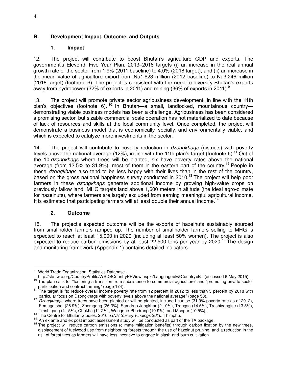## **B. Development Impact, Outcome, and Outputs**

## **1. Impact**

12. The project will contribute to boost Bhutan's agriculture GDP and exports. The government's Eleventh Five Year Plan, 2013–2018 targets (i) an increase in the real annual growth rate of the sector from 1.9% (2011 baseline) to 4.0% (2018 target), and (ii) an increase in the mean value of agriculture export from Nu1,623 million (2012 baseline) to Nu3,246 million (2018 target) (footnote 6). The project is consistent with the need to diversify Bhutan's exports away from hydropower (32% of exports in 2011) and mining (36% of exports in 2011).<sup>9</sup>

13. The project will promote private sector agribusiness development, in line with the 11th plan's objectives (footnote 6). <sup>10</sup> In Bhutan—a small, landlocked, mountainous country demonstrating viable business models has been a challenge. Agribusiness has been considered a promising sector, but sizable commercial scale operation has not materialized to date because of lack of resources and skills at the local community level. Once completed, the project will demonstrate a business model that is economically, socially, and environmentally viable, and which is expected to catalyze more investments in the sector.

14. The project will contribute to poverty reduction in *dzongkhags* (districts) with poverty levels above the national average (12%), in line with the 11th plan's target (footnote 6).<sup>11</sup> Out of the 10 *dzongkhags* where trees will be planted, six have poverty rates above the national average (from 13.5% to 31.9%), most of them in the eastern part of the country.<sup>12</sup> People in these *dzongkhags* also tend to be less happy with their lives than in the rest of the country, based on the gross national happiness survey conducted in 2010.<sup>13</sup> The project will help poor farmers in these *dzongkhags* generate additional income by growing high-value crops on previously fallow land. MHG targets land above 1,600 meters in altitude (the ideal agro-climate for hazelnuts), where farmers are largely excluded from earning meaningful agricultural income. It is estimated that participating farmers will at least double their annual income.<sup>14</sup>

## **2. Outcome**

15. The project's expected outcome will be the exports of hazelnuts sustainably sourced from smallholder farmers ramped up. The number of smallholder farmers selling to MHG is expected to reach at least 15,000 in 2020 (including at least 50% women). The project is also expected to reduce carbon emissions by at least 22,500 tons per year by 2020.<sup>15</sup> The design and monitoring framework (Appendix 1) contains detailed indicators.

 $\overline{a}$ 9 World Trade Organization. Statistics Database.

http://stat.wto.org/CountryProfile/WSDBCountryPFView.aspx?Language=E&Country=BT (accessed 6 May 2015).

<sup>&</sup>lt;sup>10</sup> The plan calls for "fostering a transition from subsistence to commercial agriculture" and "promoting private sector participation and contract farming" (page 174).

<sup>&</sup>lt;sup>11</sup> The target is "to reduce overall income poverty rate from 12 percent in 2012 to less than 5 percent by 2018 with

particular focus on Dzongkhags with poverty levels above the national average" (page 58). <sup>12</sup> *Dzongkhags*, where trees have been planted or will be planted, include Lhuntse (31.9% poverty rate as of 2012), Pemagatshel (26.9%), Zhemgang (26.3%), Samdrup Jongkhar (21.0%), Trongsa (14.5%), Trashiyangtse (13.5%),

Trashigang (11.5%), Chukha (11.2%), Wangdue Phodrang (10.9%), and Mongar (10.5%). <sup>13</sup> The Centre for Bhutan Studies. 2010. *GNH Survey Findings 2010*. Thimphu.

<sup>&</sup>lt;sup>14</sup> An ex ante and ex post impact assessment study will be conducted as part of the TA package.

 $15$  The project will reduce carbon emissions (climate mitigation benefits) through carbon fixation by the new trees, displacement of fuelwood use from neighboring forests through the use of hazelnut pruning, and a reduction in the risk of forest fires as farmers will have less incentive to engage in slash-and-burn cultivation.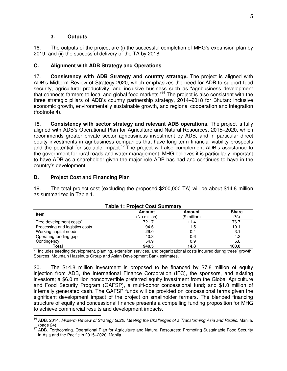### **3. Outputs**

16. The outputs of the project are (i) the successful completion of MHG's expansion plan by 2019, and (ii) the successful delivery of the TA by 2018.

## **C. Alignment with ADB Strategy and Operations**

17. **Consistency with ADB Strategy and country strategy.** The project is aligned with ADB's Midterm Review of Strategy 2020, which emphasizes the need for ADB to support food security, agricultural productivity, and inclusive business such as "agribusiness development that connects farmers to local and global food markets."<sup>16</sup> The project is also consistent with the three strategic pillars of ADB's country partnership strategy, 2014–2018 for Bhutan: inclusive economic growth, environmentally sustainable growth, and regional cooperation and integration (footnote 4).

18. **Consistency with sector strategy and relevant ADB operations.** The project is fully aligned with ADB's Operational Plan for Agriculture and Natural Resources, 2015–2020, which recommends greater private sector agribusiness investment by ADB, and in particular direct equity investments in agribusiness companies that have long-term financial viability prospects and the potential for scalable impact.<sup>17</sup> The project will also complement ADB's assistance to the government for rural roads and water management. MHG believes it is particularly important to have ADB as a shareholder given the major role ADB has had and continues to have in the country's development.

## **D. Project Cost and Financing Plan**

19. The total project cost (excluding the proposed \$200,000 TA) will be about \$14.8 million as summarized in Table 1.

| <b>Item</b>                         | Amount       | <b>Amount</b> | <b>Share</b> |  |
|-------------------------------------|--------------|---------------|--------------|--|
|                                     | (Nu million) | $$$ million)  | (%)          |  |
| Tree development costs <sup>a</sup> | 721.7        | 11.4          | 76.7         |  |
| Processing and logistics costs      | 94.6         | 1.5           | 10.1         |  |
| Working capital needs               | 29.0         | 0.4           | 3.1          |  |
| Operating funding gap               | 40.3         | 0.6           | 4.3          |  |
| Contingency                         | 54.9         | 0.9           | 5.8          |  |
| Total                               | <b>9405</b>  | 14 R          | 100 በ        |  |

### **Table 1: Project Cost Summary**

 **Total 940.5 14.8 100.0** a Includes seeding development, planting, extension services, and organizational costs incurred during trees' growth. Sources: Mountain Hazelnuts Group and Asian Development Bank estimates.

20. The \$14.8 million investment is proposed to be financed by \$7.8 million of equity injection from ADB, the International Finance Corporation (IFC), the sponsors, and existing investors; a \$6.0 million nonconvertible preferred equity investment from the Global Agriculture and Food Security Program (GAFSP), a multi-donor concessional fund; and \$1.0 million of internally generated cash. The GAFSP funds will be provided on concessional terms given the significant development impact of the project on smallholder farmers. The blended financing structure of equity and concessional finance presents a compelling funding proposition for MHG to achieve commercial results and development impacts.

j <sup>16</sup> ADB. 2014. *Midterm Review of Strategy 2020: Meeting the Challenges of a Transforming Asia and Pacific*. Manila. (page 24)

 $17$  ADB. Forthcoming. Operational Plan for Agriculture and Natural Resources: Promoting Sustainable Food Security in Asia and the Pacific in 2015–2020. Manila.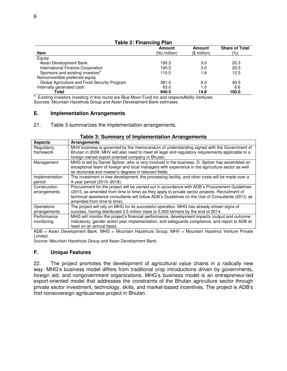| Table 2. Financing Fian                      |              |              |                       |  |  |
|----------------------------------------------|--------------|--------------|-----------------------|--|--|
|                                              | Amount       | Amount       | <b>Share of Total</b> |  |  |
| Item                                         | (Nu million) | $$$ million) | $(\% )$               |  |  |
| Equity                                       |              |              |                       |  |  |
| Asian Development Bank                       | 190.5        | 3.0          | 20.3                  |  |  |
| International Finance Corporation            | 190.5        | 3.0          | 20.3                  |  |  |
| Sponsors and existing investors <sup>a</sup> | 115.5        | 1.8          | 12.3                  |  |  |
| Nonconvertible preferred equity              |              |              |                       |  |  |
| Global Agriculture and Food Security Program | 381.0        | 6.0          | 40.5                  |  |  |
| Internally generated cash                    | 63.0         | 1.0          | 6.6                   |  |  |
| Total                                        | 940.5        | 14.8         | 100.0                 |  |  |

**Table 2: Financing Plan** 

<sup>a</sup> Existing investors investing in this round are Blue Moon Fund Inc and responsAbility Ventures. Sources: Mountain Hazelnuts Group and Asian Development Bank estimates.

#### **E. Implementation Arrangements**

21. Table 3 summarizes the implementation arrangements.

| <b>Aspects</b> | <b>Arrangements</b>                                                                               |
|----------------|---------------------------------------------------------------------------------------------------|
| Regulatory     | MHV business is governed by the memorandum of understanding signed with the Government of         |
| framework      | Bhutan in 2009. MHV will also need to meet all legal and regulatory requirements applicable to a  |
|                | foreign-owned export-oriented company in Bhutan.                                                  |
| Management     | MHG is led by Daniel Spitzer, who is very involved in the business. D. Spitzer has assembled an   |
|                | exceptional team of foreign and local managers with experience in the agriculture sector as well  |
|                | as doctorate and master's degrees in relevant fields.                                             |
| Implementation | The investment in tree development, the processing facility, and other costs will be made over a  |
| period         | 4-year period (2015–2018).                                                                        |
| Construction   | Procurement for the project will be carried out in accordance with ADB's Procurement Guidelines   |
| arrangements   | (2015, as amended from time to time) as they apply to private sector projects. Recruitment of     |
|                | technical assistance consultants will follow ADB's Guidelines on the Use of Consultants (2013, as |
|                | amended from time to time).                                                                       |
| Operations     | The project will rely on MHG for its successful operation. MHG has already shown signs of         |
| arrangements   | success, having distributed 2.5 million trees to 5,000 farmers by the end of 2014.                |
| Performance    | MHG will monitor the project's financial performance, development impacts (output and outcome     |
| monitoring     | indicators), gender action plan implementation, and safeguards compliance, and report to ADB at   |
|                | least on an annual basis.                                                                         |

#### **Table 3: Summary of Implementation Arrangements**

ADB = Asian Development Bank, MHG = Mountain Hazelnuts Group, MHV = Mountain Hazelnut Venture Private Limited.

Source: Mountain Hazelnuts Group and Asian Development Bank.

#### **F. Unique Features**

22. The project promotes the development of agricultural value chains in a radically new way. MHG's business model differs from traditional crop introductions driven by governments, foreign aid, and nongovernment organizations. MHG's business model is an entrepreneur-led export-oriented model that addresses the constraints of the Bhutan agriculture sector through private sector investment, technology, skills, and market-based incentives. The project is ADB's first nonsovereign agribusiness project in Bhutan.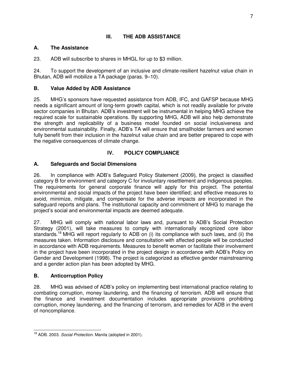## **III. THE ADB ASSISTANCE**

## **A. The Assistance**

23. ADB will subscribe to shares in MHGL for up to \$3 million.

24. To support the development of an inclusive and climate-resilient hazelnut value chain in Bhutan, ADB will mobilize a TA package (paras. 9–10).

## **B. Value Added by ADB Assistance**

25. MHG's sponsors have requested assistance from ADB, IFC, and GAFSP because MHG needs a significant amount of long-term growth capital, which is not readily available for private sector companies in Bhutan. ADB's investment will be instrumental in helping MHG achieve the required scale for sustainable operations. By supporting MHG, ADB will also help demonstrate the strength and replicability of a business model founded on social inclusiveness and environmental sustainability. Finally, ADB's TA will ensure that smallholder farmers and women fully benefit from their inclusion in the hazelnut value chain and are better prepared to cope with the negative consequences of climate change.

# **IV. POLICY COMPLIANCE**

## **A. Safeguards and Social Dimensions**

26. In compliance with ADB's Safeguard Policy Statement (2009), the project is classified category B for environment and category C for involuntary resettlement and indigenous peoples. The requirements for general corporate finance will apply for this project. The potential environmental and social impacts of the project have been identified; and effective measures to avoid, minimize, mitigate, and compensate for the adverse impacts are incorporated in the safeguard reports and plans. The institutional capacity and commitment of MHG to manage the project's social and environmental impacts are deemed adequate.

27. MHG will comply with national labor laws and, pursuant to ADB's Social Protection Strategy (2001), will take measures to comply with internationally recognized core labor standards.<sup>18</sup> MHG will report regularly to ADB on (i) its compliance with such laws, and (ii) the measures taken. Information disclosure and consultation with affected people will be conducted in accordance with ADB requirements. Measures to benefit women or facilitate their involvement in the project have been incorporated in the project design in accordance with ADB's Policy on Gender and Development (1998). The project is categorized as effective gender mainstreaming and a gender action plan has been adopted by MHG.

## **B. Anticorruption Policy**

28. MHG was advised of ADB's policy on implementing best international practice relating to combating corruption, money laundering, and the financing of terrorism. ADB will ensure that the finance and investment documentation includes appropriate provisions prohibiting corruption, money laundering, and the financing of terrorism, and remedies for ADB in the event of noncompliance.

 $\overline{a}$ <sup>18</sup> ADB. 2003. *Social Protection.* Manila (adopted in 2001).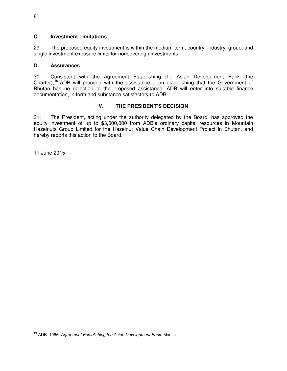### **C. Investment Limitations**

29. The proposed equity investment is within the medium-term, country, industry, group, and single investment exposure limits for nonsovereign investments.

### **D. Assurances**

30. Consistent with the Agreement Establishing the Asian Development Bank (the Charter),<sup>19</sup> ADB will proceed with the assistance upon establishing that the Government of Bhutan has no objection to the proposed assistance. ADB will enter into suitable finance documentation, in form and substance satisfactory to ADB.

## **V. THE PRESIDENT'S DECISION**

31. The President, acting under the authority delegated by the Board, has approved the equity investment of up to \$3,000,000 from ADB's ordinary capital resources in Mountain Hazelnuts Group Limited for the Hazelnut Value Chain Development Project in Bhutan, and hereby reports this action to the Board.

11 June 2015

 $\overline{a}$ <sup>19</sup> ADB. 1966. *Agreement Establishing the Asian Development Bank.* Manila.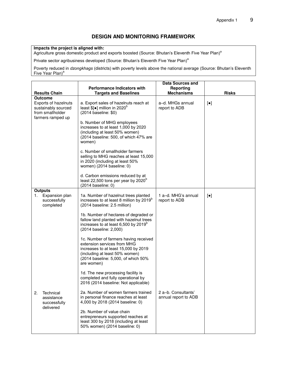### **DESIGN AND MONITORING FRAMEWORK**

#### **Impacts the project is aligned with:**

Agriculture gross domestic product and exports boosted (Source: Bhutan's Eleventh Five Year Plan)<sup>a</sup>

Private sector agribusiness developed (Source: Bhutan's Eleventh Five Year Plan)<sup>a</sup>

Poverty reduced in *dzongkhags* (districts) with poverty levels above the national average (Source: Bhutan's Eleventh Five Year Plan)<sup>a</sup>

|                                                                                                 |                                                                                                                                                                                                     | Data Sources and                            |                        |
|-------------------------------------------------------------------------------------------------|-----------------------------------------------------------------------------------------------------------------------------------------------------------------------------------------------------|---------------------------------------------|------------------------|
|                                                                                                 | <b>Performance Indicators with</b>                                                                                                                                                                  | Reporting                                   |                        |
| <b>Results Chain</b>                                                                            | <b>Targets and Baselines</b>                                                                                                                                                                        | <b>Mechanisms</b>                           | <b>Risks</b>           |
| Outcome<br>Exports of hazelnuts<br>sustainably sourced<br>from smallholder<br>farmers ramped up | a. Export sales of hazelnuts reach at<br>least $\frac{1}{2}$ million in 2020 <sup>b</sup><br>(2014 baseline: \$0)                                                                                   | a–d. MHGs annual<br>report to ADB           | $\left[\bullet\right]$ |
|                                                                                                 | b. Number of MHG employees<br>increases to at least 1,000 by 2020<br>(including at least 50% women)<br>(2014 baseline: 500, of which 47% are<br>women)                                              |                                             |                        |
|                                                                                                 | c. Number of smallholder farmers<br>selling to MHG reaches at least 15,000<br>in 2020 (including at least 50%<br>women) (2014 baseline: 0)                                                          |                                             |                        |
|                                                                                                 | d. Carbon emissions reduced by at<br>least 22,500 tons per year by 2020 <sup>b</sup><br>(2014 baseline: 0)                                                                                          |                                             |                        |
| <b>Outputs</b>                                                                                  |                                                                                                                                                                                                     |                                             |                        |
| 1.<br>Expansion plan<br>successfully<br>completed                                               | 1a. Number of hazelnut trees planted<br>increases to at least 8 million by 2019 <sup>b</sup><br>(2014 baseline: 2.5 million)                                                                        | 1 a-d. MHG's annual<br>report to ADB        | $[\bullet]$            |
|                                                                                                 | 1b. Number of hectares of degraded or<br>fallow land planted with hazelnut trees<br>increases to at least 6,500 by 2019 <sup>b</sup><br>(2014 baseline: 2,000)                                      |                                             |                        |
|                                                                                                 | 1c. Number of farmers having received<br>extension services from MHG<br>increases to at least 15,000 by 2019<br>(including at least 50% women)<br>(2014 baseline: 5,000, of which 50%<br>are women) |                                             |                        |
|                                                                                                 | 1d. The new processing facility is<br>completed and fully operational by<br>2016 (2014 baseline: Not applicable)                                                                                    |                                             |                        |
| 2.<br>Technical<br>assistance<br>successfully                                                   | 2a. Number of women farmers trained<br>in personal finance reaches at least<br>4,000 by 2018 (2014 baseline: 0)                                                                                     | 2 a-b. Consultants'<br>annual report to ADB |                        |
| delivered                                                                                       | 2b. Number of value chain<br>entrepreneurs supported reaches at<br>least 300 by 2018 (including at least<br>50% women) (2014 baseline: 0)                                                           |                                             |                        |